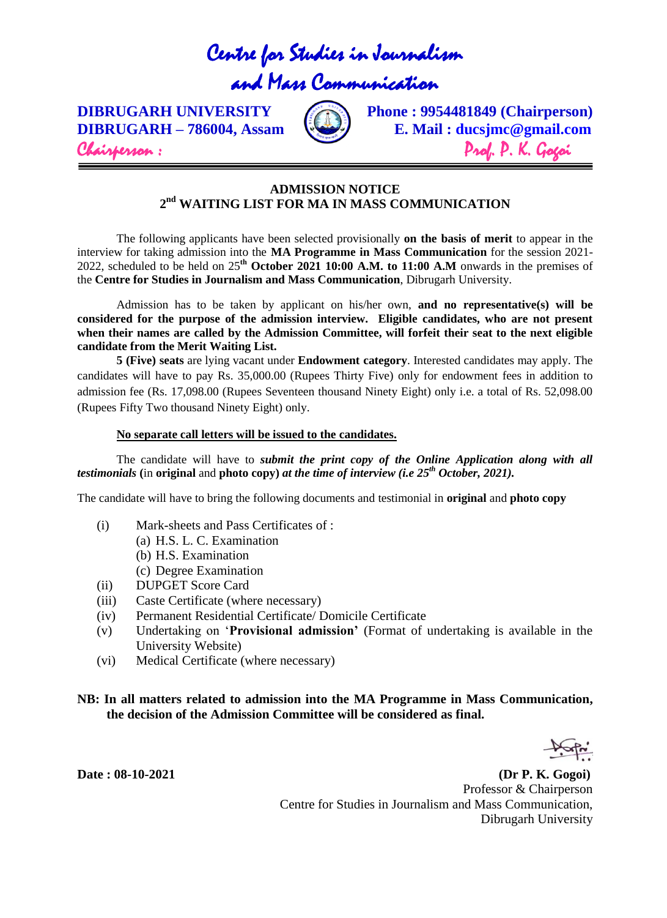# Centre for Studies in Journalism

# and Mass Communication



**DIBRUGARH UNIVERSITY** (**Phone : 9954481849** (Chairperson) **DIBRUGARH – 786004, Assam E. Mail : ducsjmc@gmail.com** Chairperson : Prof. P. K. Gogoi

### **ADMISSION NOTICE 2 nd WAITING LIST FOR MA IN MASS COMMUNICATION**

The following applicants have been selected provisionally **on the basis of merit** to appear in the interview for taking admission into the **MA Programme in Mass Communication** for the session 2021- 2022, scheduled to be held on 25**th October 2021 10:00 A.M. to 11:00 A.M** onwards in the premises of the **Centre for Studies in Journalism and Mass Communication**, Dibrugarh University.

Admission has to be taken by applicant on his/her own, **and no representative(s) will be considered for the purpose of the admission interview. Eligible candidates, who are not present when their names are called by the Admission Committee, will forfeit their seat to the next eligible candidate from the Merit Waiting List.** 

**5 (Five) seats** are lying vacant under **Endowment category**. Interested candidates may apply. The candidates will have to pay Rs. 35,000.00 (Rupees Thirty Five) only for endowment fees in addition to admission fee (Rs. 17,098.00 (Rupees Seventeen thousand Ninety Eight) only i.e. a total of Rs. 52,098.00 (Rupees Fifty Two thousand Ninety Eight) only.

#### **No separate call letters will be issued to the candidates.**

The candidate will have to *submit the print copy of the Online Application along with all testimonials* **(**in **original** and **photo copy)** *at the time of interview (i.e 25th October, 2021).*

The candidate will have to bring the following documents and testimonial in **original** and **photo copy**

- (i) Mark-sheets and Pass Certificates of :
	- (a) H.S. L. C. Examination
		- (b) H.S. Examination
	- (c) Degree Examination
- (ii) DUPGET Score Card
- (iii) Caste Certificate (where necessary)
- (iv) Permanent Residential Certificate/ Domicile Certificate
- (v) Undertaking on '**Provisional admission'** (Format of undertaking is available in the University Website)
- (vi) Medical Certificate (where necessary)

#### **NB: In all matters related to admission into the MA Programme in Mass Communication, the decision of the Admission Committee will be considered as final.**

**Date : 08-10-2021 (Dr P. K. Gogoi)** Professor & Chairperson Centre for Studies in Journalism and Mass Communication, Dibrugarh University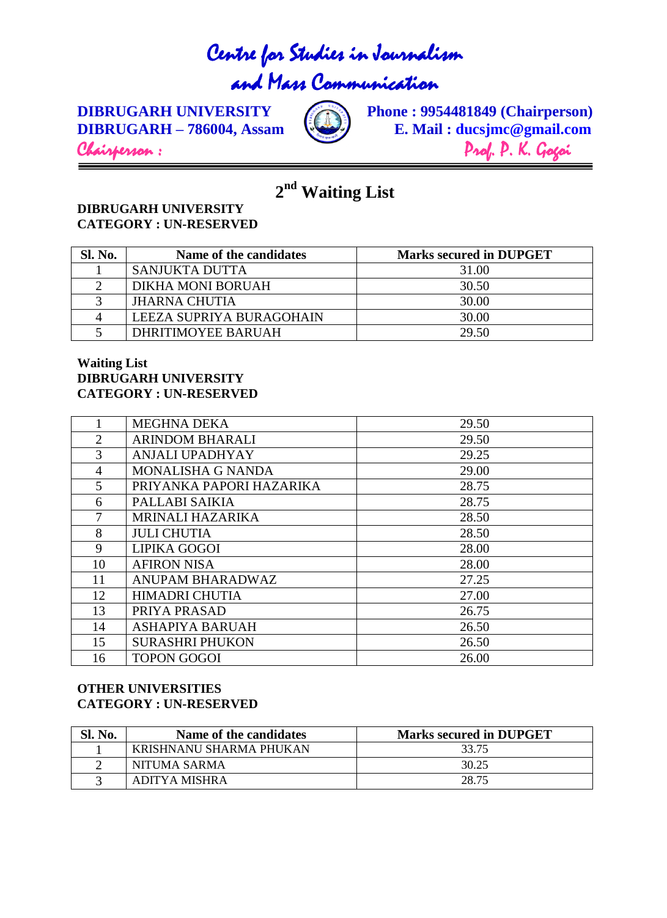# Centre for Studies in Journalism

# and Mass Communication



**DIBRUGARH UNIVERSITY Chairperson**) **Phone : 9954481849 (Chairperson) E. Mail : ducsjmc@gmail.com DIBRUGARH – 786004, Assam E. Mail : ducsjmc@gmail.com** Chairperson : Prof. P. K. Gogoi

**nd Waiting List**

### **DIBRUGARH UNIVERSITY CATEGORY : UN-RESERVED**

| <b>Sl. No.</b> | Name of the candidates   | <b>Marks secured in DUPGET</b> |
|----------------|--------------------------|--------------------------------|
|                | <b>SANJUKTA DUTTA</b>    | 31.00                          |
|                | DIKHA MONI BORUAH        | 30.50                          |
|                | <b>JHARNA CHUTIA</b>     | 30.00                          |
|                | LEEZA SUPRIYA BURAGOHAIN | 30.00                          |
|                | DHRITIMOYEE BARUAH       | 29.50                          |

### **Waiting List DIBRUGARH UNIVERSITY CATEGORY : UN-RESERVED**

|                | <b>MEGHNA DEKA</b>       | 29.50 |
|----------------|--------------------------|-------|
| $\overline{2}$ | <b>ARINDOM BHARALI</b>   | 29.50 |
| 3              | <b>ANJALI UPADHYAY</b>   | 29.25 |
| 4              | <b>MONALISHA G NANDA</b> | 29.00 |
| 5              | PRIYANKA PAPORI HAZARIKA | 28.75 |
| 6              | PALLABI SAIKIA           | 28.75 |
| $\tau$         | <b>MRINALI HAZARIKA</b>  | 28.50 |
| 8              | <b>JULI CHUTIA</b>       | 28.50 |
| 9              | LIPIKA GOGOI             | 28.00 |
| 10             | <b>AFIRON NISA</b>       | 28.00 |
| 11             | ANUPAM BHARADWAZ         | 27.25 |
| 12             | <b>HIMADRI CHUTIA</b>    | 27.00 |
| 13             | PRIYA PRASAD             | 26.75 |
| 14             | <b>ASHAPIYA BARUAH</b>   | 26.50 |
| 15             | <b>SURASHRI PHUKON</b>   | 26.50 |
| 16             | <b>TOPON GOGOI</b>       | 26.00 |

## **OTHER UNIVERSITIES CATEGORY : UN-RESERVED**

| Sl. No. | Name of the candidates  | <b>Marks secured in DUPGET</b> |
|---------|-------------------------|--------------------------------|
|         | KRISHNANU SHARMA PHUKAN | 33.75                          |
|         | NITUMA SARMA            | 30.25                          |
|         | ADITYA MISHRA           | 28.75                          |